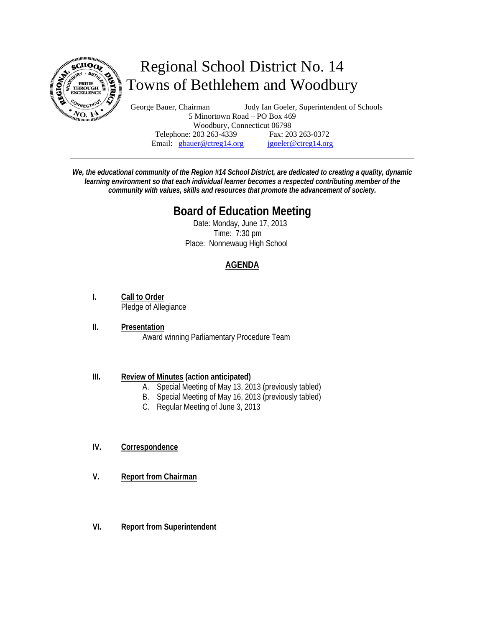

# Regional School District No. 14 Towns of Bethlehem and Woodbury

George Bauer, Chairman Jody Ian Goeler, Superintendent of Schools 5 Minortown Road – PO Box 469 Woodbury, Connecticut 06798 Telephone: 203 263-4339 Fax: 203 263-0372 Email: gbauer@ctreg14.org jgoeler@ctreg14.org

*We, the educational community of the Region #14 School District, are dedicated to creating a quality, dynamic learning environment so that each individual learner becomes a respected contributing member of the community with values, skills and resources that promote the advancement of society.* 

## **Board of Education Meeting**

 Date: Monday, June 17, 2013 Time: 7:30 pm Place: Nonnewaug High School

### **AGENDA**

- **I. Call to Order** Pledge of Allegiance
- **II. Presentation** Award winning Parliamentary Procedure Team

#### **III. Review of Minutes (action anticipated)**

- A. Special Meeting of May 13, 2013 (previously tabled)
- B. Special Meeting of May 16, 2013 (previously tabled)
- C. Regular Meeting of June 3, 2013
- **IV. Correspondence**
- **V. Report from Chairman**
- **VI. Report from Superintendent**